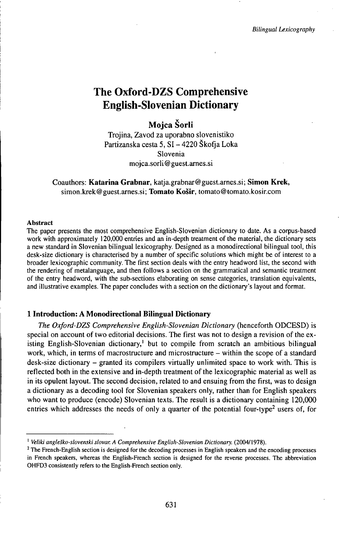# **The Oxford-DZS Comprehensive English-Slovenian Dictionary**

## **Mojca Šorli**

Trojina, Zavod za uporabno slovenistiko Partizanska cesta 5, SI - 4220 Škofja Loka Slovenia mojca.sorli@guest.arnes.si

## Coauthors: **Katarina Grabnar,** katja.grabnar@guest.arnes.si; **Simon Krek,** simon.krek@guest.arnes.si; **Tomato Košir,** tomato@tomato.kosir.com

#### Abstract

The paper presents the most comprehensive English-Slovenian dictionary to date. As a corpus-based work with approximately 120,000 entries and an in-depth treatment of the material, the dictionary sets a new standard in Slovenian bilingual lexicography. Designed as a monodirectional bilingual tool, this desk-size dictionary is characterised by a number of specific solutions which might be of interest to a broader lexicographic community. The first section deals with the entry headword list, the second with the rendering of metalanguage, and then follows a section on the grammatical and semantic treatment of the entry headword, with the sub-sections elaborating on sense categories, translation equivalents, and illustrative examples. The paper concludes with a section on the dictionary's layout and format.

## **1 Introduction: A Monodirectional Bilingual Dictionary**

*The Oxford-DZS Comprehensive English-Slovenian Dictionary* (henceforth ODCESD) is special on account of two editorial decisions. The first was not to design a revision of the existing English-Slovenian dictionary,<sup>1</sup> but to compile from scratch an ambitious bilingual work, which, in terms of macrostructure and microstructure – within the scope of a standard desk-size dictionary – granted its compilers virtually unlimited space to work with. This is reflected both in the extensive and in-depth treatment of the lexicographic material as well as in its opulent layout. The second decision, related to and ensuing from the first, was to design a dictionary as a decoding tool for Slovenian speakers only, rather than for English speakers who want to produce (encode) Slovenian texts. The result is a dictionary containing 120,000 entries which addresses the needs of only a quarter of the potential four-type<sup>2</sup> users of, for

<sup>&</sup>lt;sup>1</sup> Veliki angleško-slovenski slovar. A Comprehensive English-Slovenian Dictionary. (2004/1978).

<sup>&</sup>lt;sup>2</sup> The French-English section is designed for the decoding processes in English speakers and the encoding processes in French speakers, whereas the English-French section is designed for the reverse processes. The abbreviation OHFD3 consistently refers to the English-French section only.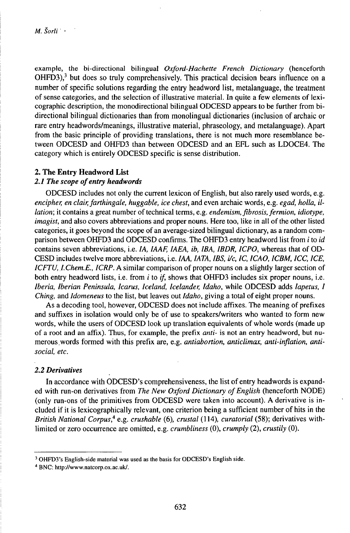example, the bi-directional bilingual *Oxford-Hachette French Dictionary* (henceforth OHFD3),<sup>3</sup> but does so truly comprehensively. This practical decision bears influence on a number of specific solutions regarding the entry headword list, metalanguage, the treatment of sense categories, and the selection of illustrative material. In quite a few elements of lexicographic description, the monodirectional bilingual ODCESD appears to be further from bidirectional bilingual dictionaries than from monolingual dictionaries (inclusion of archaic or rare entry headwords/meanings, illustrative material, phraseology, and metalanguage). Apart from the basic principle of providing translations, there is not much more resemblance between ODCESD and OHFD3 than between ODCESD and an EFL such as LDOCE4. The category which is entirely ODCESD specific is sense distribution.

## **2. The Entry Headword List**

## *2.1 The scope ofentry headwords*

ODCESD includes not only the current lexicon of English, but also rarely used words, e.g. *encipher, en clair,farthingale, huggable, ice chest,* and even archaic words, e.g. *egad, holla, illation;* it contains a great number oftechnical terms, e.g. *endemism,fibrosis,fermion, idiotype, imagist,* and also covers abbreviations and proper nouns. Here too, like in all of the other listed categories, it goes beyond the scope of an average-sized bilingual dictionary, as a random comparison between OHFD3 and ODCESD confirms. The OHFD3 entry headword list from *i* to *id* contains seven abbreviations, i.e. *IA, IAAF, IAEA, ib, IBA, IBDR, lCPO,* whereas that of OD-CESD includes twelve more abbreviations, i.e. *IAA, ¡ATA, IBS, i/c, IC, ICAO, ICBM, ICC, ICE, ICFTU, I.Chem.E., ICRP.* A similar comparison of proper nouns on a slightly larger section of both entry headword lists, i.e. from *i* to *if*, shows that OHFD3 includes six proper nouns, i.e. *Iberia, Iberian Peninsula, Icarus, Iceland, Icelander, Idaho,* while ODCESD adds *Iapetus, I Ching,* and *ldomeneus* to the list, but leaves out *Idaho,* giving a total of eight proper nouns.

As a decoding tool, however, ODCESD does not include affixes. The meaning of prefixes and suffixes in isolation would only be of use to speakers/writers who wanted to form new words, while the users of ODCESD look up translation equivalents of whole words (made up of a root and an affix). Thus, for example, the prefix *anti-* is not an entry headword, but numerous.words formed with this prefix are, e.g. *antiabortion, anticlimax, anti-inflation, antisocial, etc.*

## *2.2 Derivatives*

In accordance with ODCESD's comprehensiveness, the list of entry headwords is expanded with run-on derivatives from *The New Oxford Dictionary of English* (henceforth NODE) (only run-ons of the primitives from ODCESD were taken into account). A derivative is included if it is lexicographically relevant, one criterion being a sufficient number of hits in the *British National Corpus\** e.g. *crushable* (6), *crustal* (114), *curatorial* (58); derivatives withlimited or zero occurrence are omitted, e.g. *crumbliness* (0), *crumply* (2), *crustily* (0).

<sup>3</sup> OHFD3's English-side material was used as the basis for ODCESD's English side.

<sup>4</sup> BNC: http://www.natcorp.ox.ac.uk/.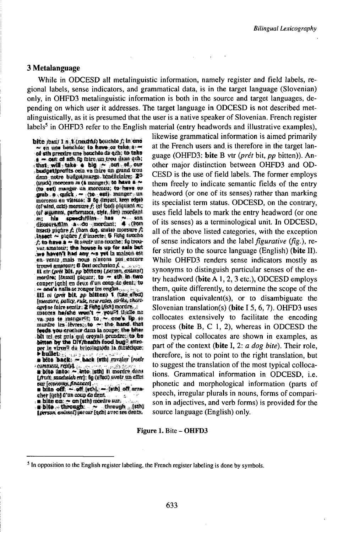## 3 Metalanguage

While in ODCESD all metalinguistic information, namely register and field labels, regional labels, sense indicators, and grammatical data, is in the target language (Slovenian) only, in OHFD3 metalinguistic information is both in the source and target languages, depending on which user it addresses. The target language in ODCESD is not described metalinguistically, as it is presumed that the user is a native speaker of Slovenian. French register labels<sup>5</sup> in OHFD3 refer to the English material (entry headwords and illustrative examples),

bels<sup>3</sup> in OHFD3 refer to the English<br>bite *part*  $1 \text{ m}$ . **1** (reaction) bouchs *f*; in end<br>  $\sim$  **en** une because to have on take  $\phi$ .<br>
of **sh presides** the because of the test of the set  $\sim$  en una benchéa; to have ou take;  $\sim$  of sth precise une bouchée de qub; to take<br> $\sim$   $\sim$  can of sth fo fuire; un tros dans qub; :Cticat: content and pure and provides were<br>  $\frac{1}{2}$ . that, will a take a big .r.e.  $\frac{1}{2}$ . out  $\frac{1}{2}$ .<br>  $\frac{1}{2}$  and  $\frac{1}{2}$  with  $\frac{1}{2}$ . •••-••\* fcüflpa|tt^p.:WaséU.£taüsE;-a<sup>a</sup> , («••••••••• *<sup>m</sup> ',t* ••••••>;•• btwa ï»» 0\* e«t) ••••••- •&.••••; \*•••\*\*: <sup>W</sup> (stack) mercess on (a manger); to have a  $\sim$ <br>(to est) manger in gone<br>casts, to have we<br>morred an winter  $\sim$  (the est), manger run<br>morred and winter  $\frac{1}{2}$  ded ninear edge<br>to wint, and morrow  $\ell$  id had niquant m; ! **have a**<br>• have co<br>anger - un<br>keen edgel<br>iguasi ru; *(to est)* mangar un morecaus; to have on<br>grab. a . quick . = (to est), mangar . un<br>morecau en vitease; 3 dg (inpart, teen edge)<br>cof wint, carl) moreurs f; (of bod) piquant .u;<br>(of wintin), carlomasci, ciyli, fim) mordant. fäf ægumen, certormasce, chie, fim) inserdant (a)  $\frac{4}{9}$  with  $\frac{4}{9}$   $\frac{4}{9}$   $\frac{4}{9}$   $\frac{4}{9}$   $\frac{4}{9}$   $\frac{4}{9}$   $\frac{4}{9}$   $\frac{4}{9}$   $\frac{4}{9}$   $\frac{4}{9}$   $\frac{4}{9}$   $\frac{4}{9}$   $\frac{4}{9}$   $\frac{4}{9}$   $\frac{4}{9}$   $\frac{4}{9}$   $\frac{4}{9}$   $\frac{4}{9}$   $\frac{4}{9}$   $\frac{4}{9}$   $\$ linsect  $\sim$  plones  $\ell$  if insects;  $\mathbf{S}$  Fising towns:  $\mathbf{r}_0$  to have a  $\sim$  0 avair uno conclues is trowns:<br> $\mathbf{v}_0$  accession; the house is up for and a back in the set of the set of the set of the set of the s var, amatatur; the house is up for sale but<br>hoe heven't had any  $\sim$ s yet in maison est<br>en-vents, mats mous hieron pas, encure<br>fromal emitents of flestnechtsion f  $\frac{1}{2}$  from  $\frac{1}{2}$  must not  $\frac{1}{2}$  ,  $\frac{1}{2}$  ....; it Bfr. ü»Ä *•,* jjý *•••*-fj\*ra^mtanrj *¡tmeufvt* [i\*saSI *•••••--".'•^•%^•• •••••• ůtm* fH» .fle4Pi,dB;,#atiftw ennper [gab] en deux d'un comp de dent, to *•*•1 tPñáf M\* *»* :fedo\*Bi: iA;\*flBsSJ :pj^tjftře, ••••,••••••&*••••-••>* •••••• ••••! <sup>1</sup> f^iíPál.flKtdnL,.( [meetare, coffey, rule, new reset, strick, short-<br>aget se faire senits; 2 Fishy (ScA) mordre...;<br>meaons, he/she, wen't ~ you?! Molle, no *part a •* interesting 2 Hab (ScA) morders, a measure of the scatter of the state of the state of the state of the state of the band. that the state vectorial can be completed to the band of the band of the band of the *••••••••*<br>**•••** prix; gat'or prix; gat'or of the band. that<br>beds. you erachor dans la coupe; the bitar<br>bit tel. est pris qui croyalt prandre; to be<br>better by the Divyhealth food bag? attro-<br>per in viaws? du bricologoids. >hdfcfb:.-;".,u4\*'.v' <sup>r</sup>'.'ŕ ",;.,•:;•. <sup>v</sup>, . *MWt»* •\*«•;~;,&\*sfc.; ••••••••• N\*

**•• bullet**) **•• . . . . . . .** *. . .* **<b>.** *. . . . . . . . . . . . . . . . . . . . . . . . . .* **u** bite into: ~ anto juth] it merdre dans<br>Uruit, saadsakk rtrj, in (1962) aveir un cilvi<br>sur [etwoldy, Anance]<br>• bite off: ~ -off, [eth], ~ (eth] off, arra

*pure (economy, finances)*<br> **a** bite off:  $\sim$  -off. (wth.),  $\sim$  (with) off arra-<br> **cher** (gelt) d'un coup or behinder. , • <sup>&</sup>lt; BbJtt oa:- »••••••••\* \$•?• -, •-,.;

: in bitte on:  $\rightarrow$  on jurn) moraro sure  $\rightarrow$ <br>**ii) bitte**  $\rightarrow$  through:  $\rightarrow$  , through , ; juli)<br>[germa ealmai] parcer [qdi] avec see dents,

likewise grammatical information is aimed primarily at the French users and is therefore in the target language (OHFD3: **bite** B vtr (*prét* bit, *pp* bitten)). Another major distinction between OHFD3 and OD-CESD is the use of field labels. The former employs them freely to indicate semantic fields of the entry headword (or one of its senses) rather than marking its specialist term status. ODCESD, on the contrary, uses field labels to mark the entry headword (or one of its senses) as a terminological unit. In ODCESD, all of the above listed categories, with the exception of sense indicators and the *\abe\figurative tflg.),* refer strictly to the source language (English) (bite II). While OHFD3 renders sense indicators mostly as synonyms to distinguish particular senses of the entry headword (bite <sup>A</sup> 1, 2, <sup>3</sup> etc.), ODCESD employs them, quite differently, to determine the scope of the translation equivalent(s), or to disambiguate the Slovenian translation(s) (bite I 5, 6, 7). OHFD3 uses collocates extensively to facilitate the encoding process (bite B, C 1, 2), whereas in ODCESD the most typical collocates are shown in examples, as part of the context (bite I, 2: *a dog bite).* Their role, therefore, is not to point to the right translation, but to suggest the translation of the most typical collocations. Grammatical information in ODCESD, i.e. phonetic and morphological information (parts of speech, irregular plurals in nouns, forms of comparison in adjectives, and verb forms) is provided for the source language (English) only.

#### Figure 1. Bite - OHFD3

<sup>&</sup>lt;sup>5</sup> In opposition to the English register labeling, the French register labeling is done by symbols.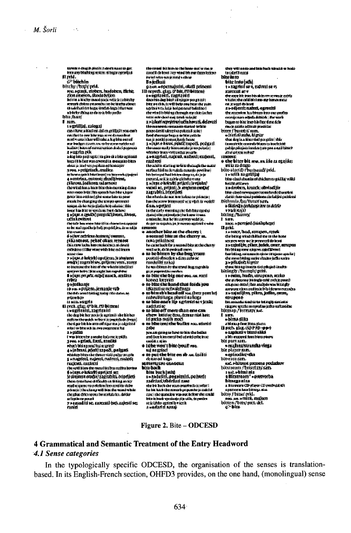$\sim 100$ 

*\*•••••••••••\*\*\** "••••••"\*\* «£3?¿\*\*i  $^{\mathrm{diff}}$  is  $\alpha$  if  $\alpha$  is the large **••••\*••1•••••••••\*• <^\*«H^ÍMálií\*i»pejj£2lí ••••••••••»** •^•••••\*' ^SK?u^SSSLT" I sin. eran.<br>Gegyillijzi, zalogaj<br>can (kreta (dal cal cal fizi)) wascash ende i Navi La contribuito internacional protectorial<br>monti la contra i chase vidi i colora in logi folios costi ofi mar budget diese werten die gestaten en<br>Kalier (historische staten enfilosof<br>2 = tit(file pik a dang kalan pang-anggota i sang pina at a belan ang ikawat<br>Isanga i lain lihat mun coverent i su anemanako belore deal je test ver papilar et honager<br>3 svol. » priigrindi , malica ywon z pangamana mantar<br>Arkawa quick bitarinya (en konweks<br>A Perririan, entroni: ribarikiwan, » •^|• tSWSÙSr fatti'»»\* M\*f St\*Í rfeiͻͻfcl»\*^^^to' •\*•^••«••&••! **nhHUl\*o<ta\*Mep>Mteunrigi ••• fHtaráAtafcrtiäVňnn.** •••••:••••!•••••• • **«•••\*\*••••••\*4•| • <«•^ ••••»•^•\*»#»•>\*#«\*\*«<> ••«•••1** the problem into the supplement of the problem into the second state of the second state of the second state of<br>**f** elergy priori into the second state of the second state of the second state of the second state of the sec **i**<br>**i** interference of the state of the state of the state of the state of the state of the state of the state of<br> **interference of the state of the state of the state of the state of the state of the state of the state o** rt»»\*. iiünrtUUteNMiiukgp \*w#eiB **"^ " : ïlptïS.** *^^•••^* »ÏÏSSASu«,«.««.) **•1,(«»1»••••»•** *•* **1996. ••grinn, frank, ameliar**<br>**••** by the space of the space of the space of the space of the space of the space of the space of the space of the space of the space of the space of the space of the space of the space of

the grise drive spons has starkeds for absider schpiere paal<br>7 estesialities, zaverali (se), aajesti se;<br>razād

"'¡••••• wg\*gj\*\*s\*\*.\*\*# \*^SSu\*bay-

. str production of the stress of the street of the street of the street of the street of the street of the street of the street of the street of the street of the street of the street of the street of the street of the s 1 + Electrophistic schalars that beatt na mga mananang magya<br>Shinahid dihidid (Iddid) scepted with a modern in the posted measure in the second measure of the second state of the second posted in the second state of the second state of the second state of the second state of the second state of the second state of the second state in t ministers to are with rentur powerin 1 saagristi, najesti, aafarii; surjenii, rau è mei

theachd is starting well in though the a engther lideling the reducts meants provident is !<br>Into bet erged Pand Inti new cleany to, do to be  $\begin{tabular}{ll} \hline & \textbf{parent} & \textbf{if} & \textbf{if} & \textbf{if} & \textbf{if} & \textbf{if} \\ \hline \textbf{f} & \textbf{f} & \textbf{if} & \textbf{if} & \textbf{if} \\ \hline \textbf{f} & \textbf{f} & \textbf{if} & \textbf{if} & \textbf{if} \\ \hline \textbf{f} & \textbf{if} & \textbf{if} & \textbf{if} \\ \hline \textbf{f} & \textbf{if} & \textbf{if} & \textbf{if} \\ \hline \textbf{f} & \textbf{if} & \textbf{if} & \textbf{$ 

'•!\*',• \*\*1•!1• \*\*• is the certy means as the fight has correlat

- 
- 
- 
- 
- 
- 
- rend Dave Islam energel <del>bu</del>d valueshed endbe im oor.<br>veeddik in oplom
- 
- 
- 

to bark (mit)<br>6 = ExklaSti, aegal miti<br>1247:111 \xSafriati case<br>ek: bi back the sun sweet ha bài hàch tha muunh gu pomhr ja tadrild nisc interpretation was not before the could bûm di bandi vçundande çû je ndila, de parolira misidato apinila e lenia.<br>1 = saduri ri noraș

a wanguni, maana, siyasana<br>the recorder his bloas less one profits<br>covering a se adjada district (the work because to hite: inter hite face of me date ma la saddo addu all provad las binca ("barretti") san<br>"a d'anti-sabe, bignetti"<br>"a d'anti-sabe, bignett sta ven energien met groep.<br>Stoat dang is in hémos stand gan gallon i stal i innen einigkeite opperente die som in Innen kantan.<br>geskrifte gelengische Kanadens (1200 para 14 mart) bekomt di si princni nakuž \* the hiter bit ma. an she ca eguide: ribe depo canta internacional protector contained<br>'s l'internacional protector contained<br>'s l'internacional protector contained<br>'s leads (any) badag Taunny I imn ana.<br>ana, a parryki (Malaphoya) icans, a partened consumptings)<br>
1 paint.<br>
1 a total et al. et tupers, republicans<br>
et a basea constitutible for an unit the bang wind thillich me to the bone staates wire welk preversi da band<br>2 werdeni (de, pilker, juckele, enwer, merupun Bits bit it as torne echopers cated librous i laaf balking, maranakani 14 marrar 18 mg their belling), matematické rykole i krajovskoupla<br>observaní bědny, svého řízního (zákonocho)<br>3. vojetka jiné krajovstv chene thing innocen their official linear.<br>Initial gifty ("turring it) grade. za, hudia, strupcza, reako **" ' •••••••** *•^•^^•1••••^•••••••* aara.<br>#Mma dika - Mint Mint<br>II Buch alan (SDP FD-99-)<br>- Emphasie biani alasi a bit arranged does biens pieces. biz part tant -rishautmashiviasa bir player ram.<br>sezindini eda segundan<br>bioanistan<br>cad ekitani pornus podukov<br>bionesan / busulanistan<br>raal ekital pia 1 Missonari - Grevatu **bizacga miza**<br>
a Kurrucus Cordinat (Develoption):<br>
a success that these also<br>
being J Heinst (widt, angles)<br>
were an a-ruled, angles)<br>
being (with gest) with<br>  $\mathcal{C}^*$  being

#### Figure 2. Bite - **ODCESD**

## **4 Grammatical and Semantic Treatment of the Entry Headword** *4.1 Sense categories*

In the typologically specific ODCESD, the organisation of the senses is translationbased. In its English-French section, 0HFD3 provides, on the one hand, (monolingual) sense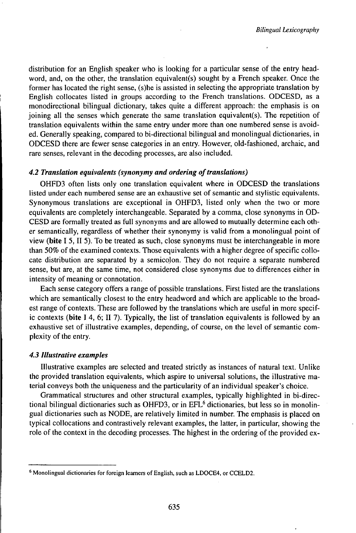distribution for an English speaker who is looking for a particular sense of the entry headword, and, on the other, the translation equivalent(s) sought by a French speaker. Once the former has located the right sense, (s)he is assisted in selecting the appropriate translation by English collocates listed in groups according to the French translations. ODCESD, as a monodirectional bilingual dictionary, takes quite a different approach: the emphasis is on joining all the senses which generate the same translation equivalent(s). The repetition of translation equivalents within the same entry under more than one numbered sense is avoided. Generally speaking, compared to bi-directional bilingual and monolingual dictionaries, in ODCESD there are fewer sense categories in an entry. However, old-fashioned, archaic, and rare senses, relevant in the decoding processes, are also included.

#### *4.2 Translation equivalents (synonymy andordering oftransUitions)*

OHFD3 often lists only one translation equivalent where in ODCESD the translations listed under each numbered sense are an exhaustive set of semantic and stylistic equivalents. Synonymous translations are exceptional in OHFD3, listed only when the two or more equivalents are completely interchangeable. Separated by a comma, close synonyms in OD-CESD are formally treated as full synonyms and are allowed to mutually determine each other semantically, regardless of whether their synonymy is valid from a monolingual point of view **(bite** I 5, II 5). To be treated as such, close synonyms must be interchangeable in more than 50% of the examined contexts. Those equivalents with a higher degree of specific collocate distribution are separated by a semicolon. They do not require a separate numbered sense, but are, at the same time, not considered close synonyms due to differences either in intensity of meaning or connotation.

Each sense category offers a range of possible translations. First listed are the translations which are semantically closest to the entry headword and which are applicable to the broadest range of contexts. These are followed by the translations which are useful in more specific contexts **(bite** I 4, 6; II 7). Typically, the list of translation equivalents is followed by an exhaustive set of illustrative examples, depending, of course, on the level of semantic complexity of the entry.

#### *4.3 Illustrative examples*

Illustrative examples are selected and treated strictly as instances of natural text. Unlike the provided translation equivalents, which aspire to universal solutions, the illustrative material conveys both the uniqueness and the particularity of an individual speaker's choice.

Grammatical structures and other structural examples, typically highlighted in bi-directional bilingual dictionaries such as OHFD3, or in EFL<sup>6</sup> dictionaries, but less so in monolingual dictionaries such as NODE, are relatively limited in number. The emphasis is placed on typical collocations and contrastively relevant examples, the latter, in particular, showing the role of the context in the decoding processes. The highest in the ordering of the provided ex-

<sup>&</sup>lt;sup>6</sup> Monolingual dictionaries for foreign learners of English, such as LDOCE4, or CCELD2.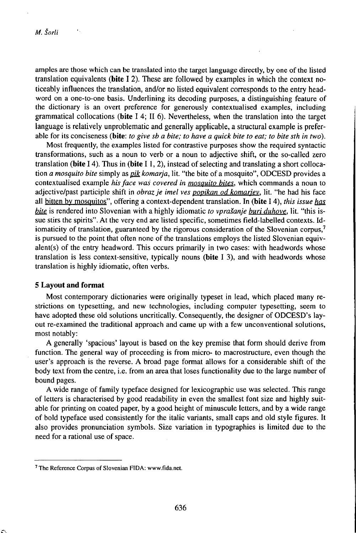amples are those which can be translated into the target language directly, by one of the listed translation equivalents **(bite** I 2). These are followed by examples in which the context noticeably influences the translation, and/or no listed equivalent corresponds to the entry headword on a one-to-one basis. Underlining its decoding purposes, a distinguishing feature of the dictionary is an overt preference for generously contextualised examples, including grammatical collocations **(bite** I 4; II 6). Nevertheless, when the translation into the target language is relatively unproblematic and generally applicable, a structural example is preferable for its conciseness (bite: to give sb a bite; to have a quick bite to eat; to bite sth in two).

Most frequently, the examples listed for contrastive purposes show the required syntactic transformations, such as a noun to verb or a noun to adjective shift, or the so-called zero translation (bite  $I$  4). Thus in (bite  $I$  1, 2), instead of selecting and translating a short collocation *a mosquito bite* simply as *gik komarja,* lit. "the bite of a mosquito", ODCESD provides a contextualised example *hisface waš covered in mosquito bites,* which commands a noun to adjective/past participle shift in *obrazje imel ves popikan od komariev.* lit. "he had his face all bitten by mosquitos", offering a context-dependent translation. In (bite 14), *this issue has bite* is rendered into Slovenian with a highly idiomatic *to vprašanje buri duhove,* lit. "this issue stirs the spirits". At the very end are listed specific, sometimes field-labelled contexts. Idiomaticity of translation, guaranteed by the rigorous consideration of the Slovenian corpus,<sup>7</sup> is pursued to the point that often none of the translations employs the listed Slovenian equivalent(s) of the entry headword. This occurs primarily in two cases: with headwords whose translation is less context-sensitive, typically nouns (bite I 3), and with headwords whose translation is highly idiomatic, often verbs.

#### **5 Layout and format**

Most contemporary dictionaries were originally typeset in lead, which placed many restrictions on typesetting, and new technologies, including computer typesetting, seem to have adopted these old solutions uncritically. Consequently, the designer of ODCESD's layout re-examined the traditional approach and came up with a few unconventional solutions, most notably:

A generally 'spacious' layout is based on the key premise that form should derive from function. The general way of proceeding is from micro- to macrostructure, even though the user's approach is the reverse. A broad page format allows for a considerable shift of the body text from the centre, i.e. from an area that loses functionality due to the large number of bound pages.

A wide range of family typeface designed for lexicographic use was selected. This range of letters is characterised by good readability in even the smallest font size and highly suitable for printing on coated paper, by a good height of minuscule letters, and by a wide range of bold typeface used consistently for the italic variants, small caps and old style figures. It also provides pronunciation symbols. Size variation in typographies is limited due to the need for a rational use of space.

<sup>7</sup> The Reference Corpus of Slovenian FIDA: www.fida.net.